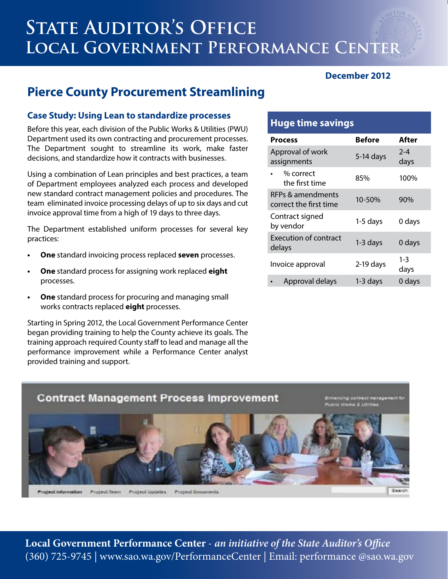# **STATE AUDITOR'S OFFICE Local Government Performance Center**

#### **December 2012**

## **Pierce County Procurement Streamlining**

#### **Case Study: Using Lean to standardize processes**

Before this year, each division of the Public Works & Utilities (PWU) Department used its own contracting and procurement processes. The Department sought to streamline its work, make faster decisions, and standardize how it contracts with businesses.

Using a combination of Lean principles and best practices, a team of Department employees analyzed each process and developed new standard contract management policies and procedures. The team eliminated invoice processing delays of up to six days and cut invoice approval time from a high of 19 days to three days.

The Department established uniform processes for several key practices:

- **One** standard invoicing process replaced **seven** processes.
- **One** standard process for assigning work replaced eight processes.
- **One** standard process for procuring and managing small works contracts replaced **eight** processes.

Starting in Spring 2012, the Local Government Performance Center began providing training to help the County achieve its goals. The training approach required County staff to lead and manage all the performance improvement while a Performance Center analyst provided training and support.

#### **Huge time savings**

| <b>Process</b>                              | <b>Before</b> | After           |
|---------------------------------------------|---------------|-----------------|
| Approval of work<br>assignments             | $5-14$ days   | $2 - 4$<br>days |
| % correct<br>the first time                 | 85%           | 100%            |
| RFPs & amendments<br>correct the first time | 10-50%        | 90%             |
| Contract signed<br>by vendor                | $1-5$ days    | 0 days          |
| <b>Execution of contract</b><br>delays      | $1-3$ days    | 0 days          |
| Invoice approval                            | $2-19$ days   | $1 - 3$<br>days |
| Approval delays                             | 1-3 days      | 0 days          |



**Local Government Performance Center** - **an initiative of the State Auditor's Office** (360) 725-9745 | www.sao.wa.gov/PerformanceCenter | Email: performance @sao.wa.gov